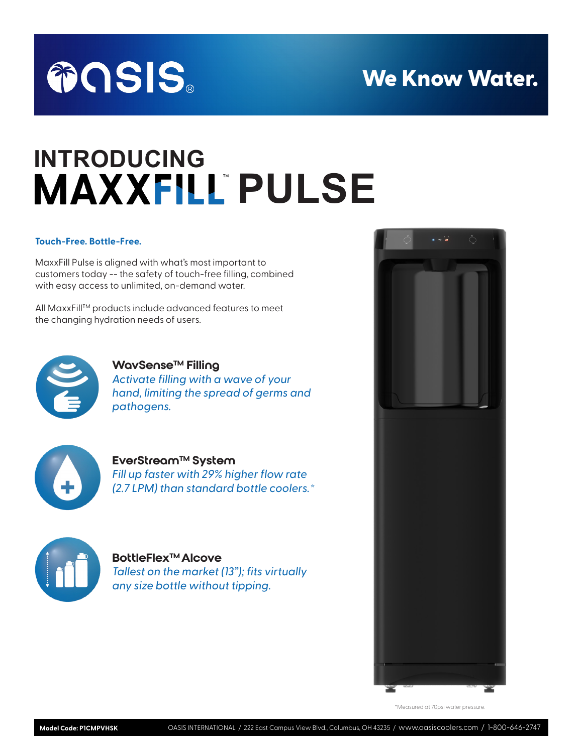## We Know Water.



# **INTRODUCING MAXXFILL PULSE**

#### **Touch-Free. Bottle-Free.**

MaxxFill Pulse is aligned with what's most important to customers today -- the safety of touch-free filling, combined with easy access to unlimited, on-demand water.

All MaxxFill™ products include advanced features to meet the changing hydration needs of users.



#### WavSense™ Filling

*Activate filling with a wave of your hand, limiting the spread of germs and pathogens.*



#### EverStream™ System

*Fill up faster with 29% higher flow rate (2.7 LPM) than standard bottle coolers.\** 



#### **BottleFlex™ Alcove**

*Tallest on the market (13"); fits virtually any size bottle without tipping.*



\*Measured at 70psi water pressure.